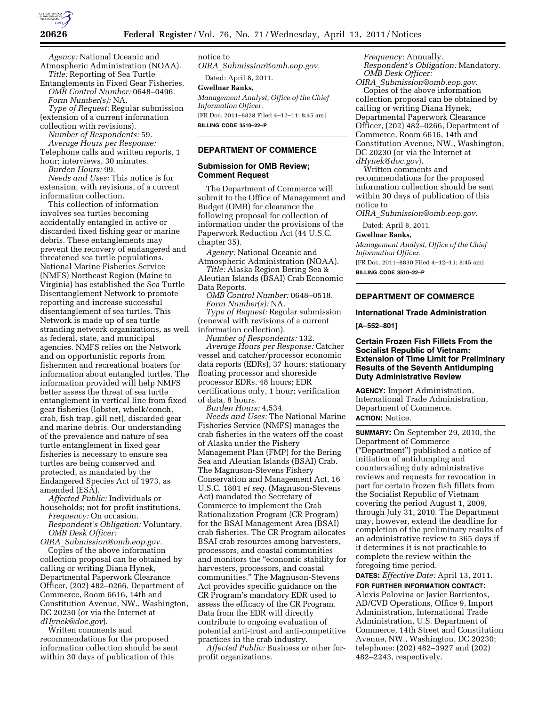

*Agency:* National Oceanic and Atmospheric Administration (NOAA). *Title:* Reporting of Sea Turtle

Entanglements in Fixed Gear Fisheries. *OMB Control Number:* 0648–0496. *Form Number(s):* NA.

*Type of Request:* Regular submission (extension of a current information collection with revisions).

*Number of Respondents:* 59. *Average Hours per Response:*  Telephone calls and written reports, 1

hour; interviews, 30 minutes. *Burden Hours:* 99.

*Needs and Uses:* This notice is for extension, with revisions, of a current information collection.

This collection of information involves sea turtles becoming accidentally entangled in active or discarded fixed fishing gear or marine debris. These entanglements may prevent the recovery of endangered and threatened sea turtle populations. National Marine Fisheries Service (NMFS) Northeast Region (Maine to Virginia) has established the Sea Turtle Disentanglement Network to promote reporting and increase successful disentanglement of sea turtles. This Network is made up of sea turtle stranding network organizations, as well as federal, state, and municipal agencies. NMFS relies on the Network and on opportunistic reports from fishermen and recreational boaters for information about entangled turtles. The information provided will help NMFS better assess the threat of sea turtle entanglement in vertical line from fixed gear fisheries (lobster, whelk/conch, crab, fish trap, gill net), discarded gear and marine debris. Our understanding of the prevalence and nature of sea turtle entanglement in fixed gear fisheries is necessary to ensure sea turtles are being conserved and protected, as mandated by the Endangered Species Act of 1973, as amended (ESA).

*Affected Public:* Individuals or households; not for profit institutions. *Frequency:* On occasion. *Respondent's Obligation:* Voluntary. *OMB Desk Officer:* 

*OIRA*\_*[Submission@omb.eop.gov.](mailto:OIRA_Submission@omb.eop.gov)* 

Copies of the above information collection proposal can be obtained by calling or writing Diana Hynek, Departmental Paperwork Clearance Officer, (202) 482–0266, Department of Commerce, Room 6616, 14th and Constitution Avenue, NW., Washington, DC 20230 (or via the Internet at *[dHynek@doc.gov](mailto:dHynek@doc.gov)*).

Written comments and recommendations for the proposed information collection should be sent within 30 days of publication of this

notice to

*OIRA*\_*[Submission@omb.eop.gov.](mailto:OIRA_Submission@omb.eop.gov)*  Dated: April 8, 2011.

**Gwellnar Banks,** 

*Management Analyst, Office of the Chief Information Officer.*  [FR Doc. 2011–8828 Filed 4–12–11; 8:45 am] **BILLING CODE 3510–22–P** 

## **DEPARTMENT OF COMMERCE**

## **Submission for OMB Review; Comment Request**

The Department of Commerce will submit to the Office of Management and Budget (OMB) for clearance the following proposal for collection of information under the provisions of the Paperwork Reduction Act (44 U.S.C. chapter 35).

*Agency:* National Oceanic and Atmospheric Administration (NOAA).

*Title:* Alaska Region Bering Sea & Aleutian Islands (BSAI) Crab Economic

Data Reports. *OMB Control Number:* 0648–0518.

*Form Number(s):* NA.

*Type of Request:* Regular submission (renewal with revisions of a current information collection).

*Number of Respondents:* 132. *Average Hours per Response:* Catcher vessel and catcher/processor economic data reports (EDRs), 37 hours; stationary floating processor and shoreside processor EDRs, 48 hours; EDR certifications only, 1 hour; verification of data, 8 hours.

*Burden Hours:* 4,534.

*Needs and Uses:* The National Marine Fisheries Service (NMFS) manages the crab fisheries in the waters off the coast of Alaska under the Fishery Management Plan (FMP) for the Bering Sea and Aleutian Islands (BSAI) Crab. The Magnuson-Stevens Fishery Conservation and Management Act, 16 U.S.C. 1801 *et seq.* (Magnuson-Stevens Act) mandated the Secretary of Commerce to implement the Crab Rationalization Program (CR Program) for the BSAI Management Area (BSAI) crab fisheries. The CR Program allocates BSAI crab resources among harvesters, processors, and coastal communities and monitors the ''economic stability for harvesters, processors, and coastal communities.'' The Magnuson-Stevens Act provides specific guidance on the CR Program's mandatory EDR used to assess the efficacy of the CR Program. Data from the EDR will directly contribute to ongoing evaluation of potential anti-trust and anti-competitive practices in the crab industry.

*Affected Public:* Business or other forprofit organizations.

*Frequency:* Annually. *Respondent's Obligation:* Mandatory. *OMB Desk Officer:* 

*OIRA*\_*[Submission@omb.eop.gov.](mailto:OIRA_Submission@omb.eop.gov)*  Copies of the above information collection proposal can be obtained by calling or writing Diana Hynek, Departmental Paperwork Clearance Officer, (202) 482–0266, Department of Commerce, Room 6616, 14th and Constitution Avenue, NW., Washington, DC 20230 (or via the Internet at *[dHynek@doc.gov](mailto:dHynek@doc.gov)*).

Written comments and recommendations for the proposed information collection should be sent within 30 days of publication of this notice to

*OIRA*\_*[Submission@omb.eop.gov.](mailto:OIRA_Submission@omb.eop.gov)* 

Dated: April 8, 2011.

## **Gwellnar Banks,**

*Management Analyst, Office of the Chief Information Officer.* 

[FR Doc. 2011–8830 Filed 4–12–11; 8:45 am] **BILLING CODE 3510–22–P** 

#### **DEPARTMENT OF COMMERCE**

#### **International Trade Administration**

**[A–552–801]** 

## **Certain Frozen Fish Fillets From the Socialist Republic of Vietnam: Extension of Time Limit for Preliminary Results of the Seventh Antidumping Duty Administrative Review**

**AGENCY:** Import Administration, International Trade Administration, Department of Commerce. **ACTION:** Notice.

**SUMMARY:** On September 29, 2010, the Department of Commerce (''Department'') published a notice of initiation of antidumping and countervailing duty administrative reviews and requests for revocation in part for certain frozen fish fillets from the Socialist Republic of Vietnam covering the period August 1, 2009, through July 31, 2010. The Department may, however, extend the deadline for completion of the preliminary results of an administrative review to 365 days if it determines it is not practicable to complete the review within the foregoing time period.

**DATES:** *Effective Date:* April 13, 2011.

**FOR FURTHER INFORMATION CONTACT:**  Alexis Polovina or Javier Barrientos, AD/CVD Operations, Office 9, Import Administration, International Trade Administration, U.S. Department of Commerce, 14th Street and Constitution Avenue, NW., Washington, DC 20230; telephone: (202) 482–3927 and (202) 482–2243, respectively.